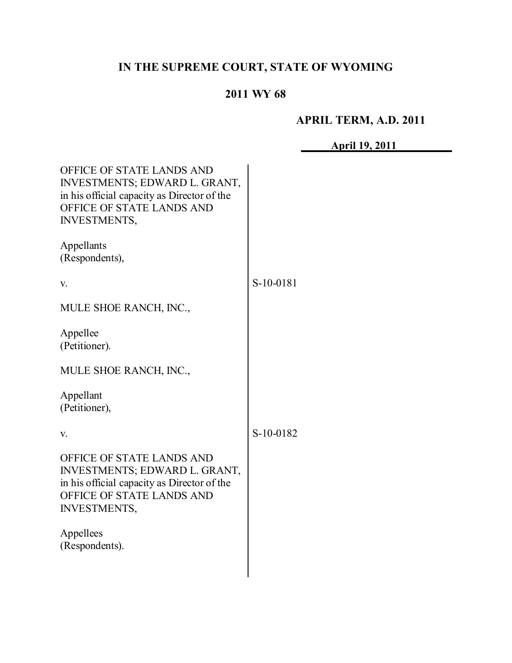# **IN THE SUPREME COURT, STATE OF WYOMING**

## **2011 WY 68**

## **APRIL TERM, A.D. 2011**

**April 19, 2011**

| OFFICE OF STATE LANDS AND<br>INVESTMENTS; EDWARD L. GRANT,<br>in his official capacity as Director of the<br>OFFICE OF STATE LANDS AND<br><b>INVESTMENTS,</b> |           |
|---------------------------------------------------------------------------------------------------------------------------------------------------------------|-----------|
| Appellants<br>(Respondents),                                                                                                                                  |           |
| V.                                                                                                                                                            | S-10-0181 |
| MULE SHOE RANCH, INC.,                                                                                                                                        |           |
| Appellee<br>(Petitioner).                                                                                                                                     |           |
| MULE SHOE RANCH, INC.,                                                                                                                                        |           |
| Appellant<br>(Petitioner),                                                                                                                                    |           |
| V.                                                                                                                                                            | S-10-0182 |
| OFFICE OF STATE LANDS AND<br>INVESTMENTS; EDWARD L. GRANT,<br>in his official capacity as Director of the<br>OFFICE OF STATE LANDS AND<br><b>INVESTMENTS,</b> |           |
| Appellees<br>(Respondents).                                                                                                                                   |           |
|                                                                                                                                                               |           |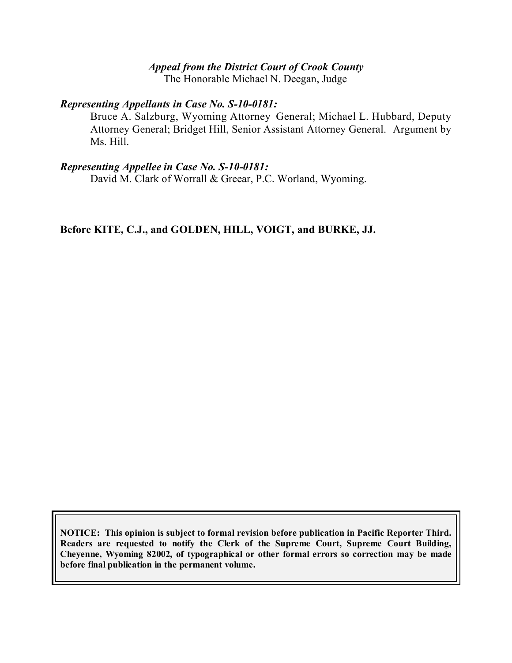## *Appeal from the District Court of Crook County*

The Honorable Michael N. Deegan, Judge

#### *Representing Appellants in Case No. S-10-0181:*

Bruce A. Salzburg, Wyoming Attorney General; Michael L. Hubbard, Deputy Attorney General; Bridget Hill, Senior Assistant Attorney General. Argument by Ms. Hill.

#### *Representing Appellee in Case No. S-10-0181:*

David M. Clark of Worrall & Greear, P.C. Worland, Wyoming.

**Before KITE, C.J., and GOLDEN, HILL, VOIGT, and BURKE, JJ.**

**NOTICE: This opinion is subject to formal revision before publication in Pacific Reporter Third. Readers are requested to notify the Clerk of the Supreme Court, Supreme Court Building, Cheyenne, Wyoming 82002, of typographical or other formal errors so correction may be made before final publication in the permanent volume.**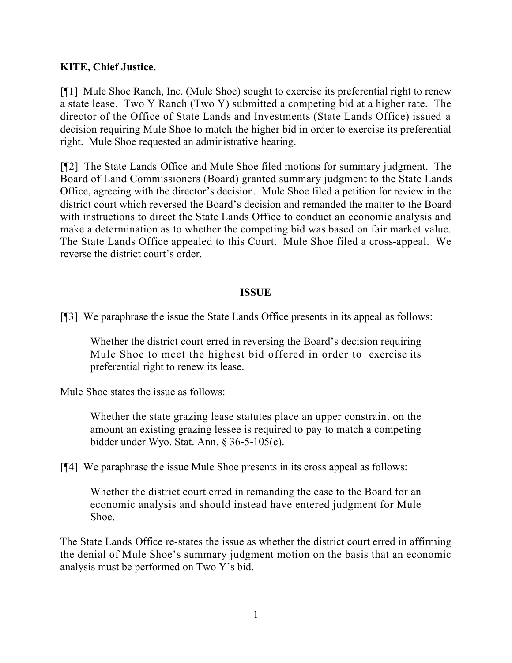### **KITE, Chief Justice.**

[¶1] Mule Shoe Ranch, Inc. (Mule Shoe) sought to exercise its preferential right to renew a state lease. Two Y Ranch (Two Y) submitted a competing bid at a higher rate. The director of the Office of State Lands and Investments (State Lands Office) issued a decision requiring Mule Shoe to match the higher bid in order to exercise its preferential right. Mule Shoe requested an administrative hearing.

[¶2] The State Lands Office and Mule Shoe filed motions for summary judgment. The Board of Land Commissioners (Board) granted summary judgment to the State Lands Office, agreeing with the director's decision. Mule Shoe filed a petition for review in the district court which reversed the Board's decision and remanded the matter to the Board with instructions to direct the State Lands Office to conduct an economic analysis and make a determination as to whether the competing bid was based on fair market value. The State Lands Office appealed to this Court. Mule Shoe filed a cross-appeal. We reverse the district court's order.

### **ISSUE**

[¶3] We paraphrase the issue the State Lands Office presents in its appeal as follows:

Whether the district court erred in reversing the Board's decision requiring Mule Shoe to meet the highest bid offered in order to exercise its preferential right to renew its lease.

Mule Shoe states the issue as follows:

Whether the state grazing lease statutes place an upper constraint on the amount an existing grazing lessee is required to pay to match a competing bidder under Wyo. Stat. Ann. § 36-5-105(c).

[¶4] We paraphrase the issue Mule Shoe presents in its cross appeal as follows:

Whether the district court erred in remanding the case to the Board for an economic analysis and should instead have entered judgment for Mule Shoe.

The State Lands Office re-states the issue as whether the district court erred in affirming the denial of Mule Shoe's summary judgment motion on the basis that an economic analysis must be performed on Two Y's bid.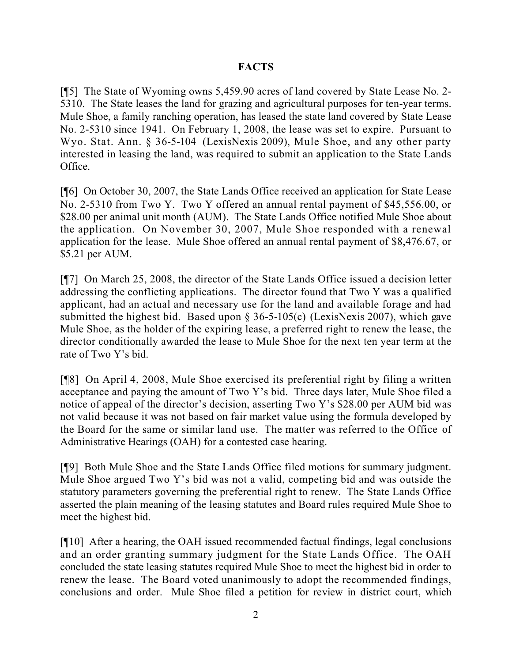### **FACTS**

[¶5] The State of Wyoming owns 5,459.90 acres of land covered by State Lease No. 2- 5310. The State leases the land for grazing and agricultural purposes for ten-year terms. Mule Shoe, a family ranching operation, has leased the state land covered by State Lease No. 2-5310 since 1941. On February 1, 2008, the lease was set to expire. Pursuant to Wyo. Stat. Ann. § 36-5-104 (LexisNexis 2009), Mule Shoe, and any other party interested in leasing the land, was required to submit an application to the State Lands Office.

[¶6] On October 30, 2007, the State Lands Office received an application for State Lease No. 2-5310 from Two Y. Two Y offered an annual rental payment of \$45,556.00, or \$28.00 per animal unit month (AUM). The State Lands Office notified Mule Shoe about the application. On November 30, 2007, Mule Shoe responded with a renewal application for the lease. Mule Shoe offered an annual rental payment of \$8,476.67, or \$5.21 per AUM.

[¶7] On March 25, 2008, the director of the State Lands Office issued a decision letter addressing the conflicting applications. The director found that Two Y was a qualified applicant, had an actual and necessary use for the land and available forage and had submitted the highest bid. Based upon § 36-5-105(c) (LexisNexis 2007), which gave Mule Shoe, as the holder of the expiring lease, a preferred right to renew the lease, the director conditionally awarded the lease to Mule Shoe for the next ten year term at the rate of Two Y's bid.

[¶8] On April 4, 2008, Mule Shoe exercised its preferential right by filing a written acceptance and paying the amount of Two Y's bid. Three days later, Mule Shoe filed a notice of appeal of the director's decision, asserting Two Y's \$28.00 per AUM bid was not valid because it was not based on fair market value using the formula developed by the Board for the same or similar land use. The matter was referred to the Office of Administrative Hearings (OAH) for a contested case hearing.

[¶9] Both Mule Shoe and the State Lands Office filed motions for summary judgment. Mule Shoe argued Two Y's bid was not a valid, competing bid and was outside the statutory parameters governing the preferential right to renew. The State Lands Office asserted the plain meaning of the leasing statutes and Board rules required Mule Shoe to meet the highest bid.

[¶10] After a hearing, the OAH issued recommended factual findings, legal conclusions and an order granting summary judgment for the State Lands Office. The OAH concluded the state leasing statutes required Mule Shoe to meet the highest bid in order to renew the lease. The Board voted unanimously to adopt the recommended findings, conclusions and order. Mule Shoe filed a petition for review in district court, which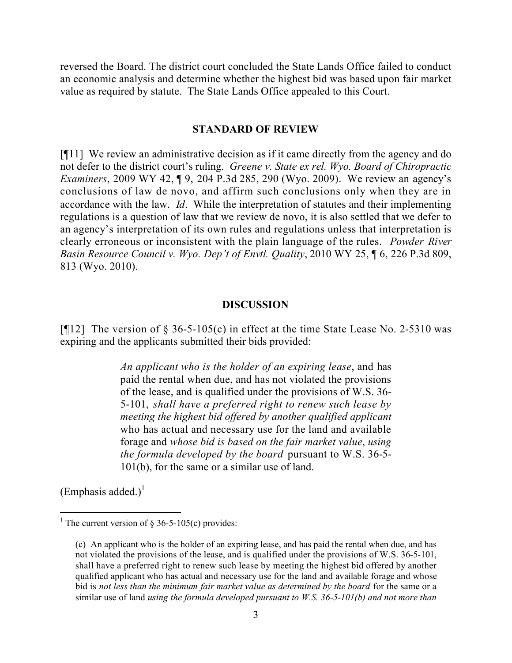reversed the Board. The district court concluded the State Lands Office failed to conduct an economic analysis and determine whether the highest bid was based upon fair market value as required by statute. The State Lands Office appealed to this Court.

#### **STANDARD OF REVIEW**

[¶11] We review an administrative decision as if it came directly from the agency and do not defer to the district court's ruling. *Greene v. State ex rel. Wyo. Board of Chiropractic Examiners*, 2009 WY 42, ¶ 9, 204 P.3d 285, 290 (Wyo. 2009). We review an agency's conclusions of law de novo, and affirm such conclusions only when they are in accordance with the law. *Id*. While the interpretation of statutes and their implementing regulations is a question of law that we review de novo, it is also settled that we defer to an agency's interpretation of its own rules and regulations unless that interpretation is clearly erroneous or inconsistent with the plain language of the rules. *Powder River Basin Resource Council v. Wyo. Dep't of Envtl. Quality*, 2010 WY 25, ¶ 6, 226 P.3d 809, 813 (Wyo. 2010).

#### **DISCUSSION**

[ $[12]$ ] The version of § 36-5-105(c) in effect at the time State Lease No. 2-5310 was expiring and the applicants submitted their bids provided:

> *An applicant who is the holder of an expiring lease*, and has paid the rental when due, and has not violated the provisions of the lease, and is qualified under the provisions of W.S. 36- 5-101, *shall have a preferred right to renew such lease by meeting the highest bid offered by another qualified applicant* who has actual and necessary use for the land and available forage and *whose bid is based on the fair market value*, *using the formula developed by the board* pursuant to W.S. 36-5- 101(b), for the same or a similar use of land.

(Emphasis added.) $<sup>1</sup>$ </sup>

 $\overline{a}$ 

<sup>&</sup>lt;sup>1</sup> The current version of § 36-5-105(c) provides:

<sup>(</sup>c) An applicant who is the holder of an expiring lease, and has paid the rental when due, and has not violated the provisions of the lease, and is qualified under the provisions of W.S. 36-5-101, shall have a preferred right to renew such lease by meeting the highest bid offered by another qualified applicant who has actual and necessary use for the land and available forage and whose bid is *not less than the minimum fair market value as determined by the board* for the same or a similar use of land *using the formula developed pursuant to W.S. 36-5-101(b) and not more than*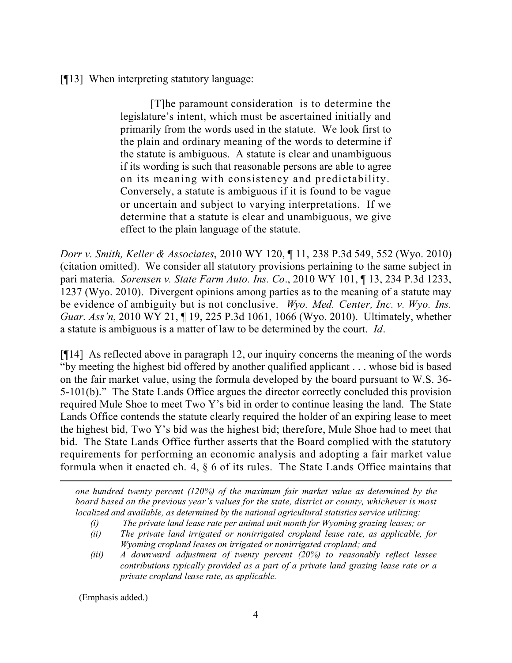[¶13] When interpreting statutory language:

[T]he paramount consideration is to determine the legislature's intent, which must be ascertained initially and primarily from the words used in the statute. We look first to the plain and ordinary meaning of the words to determine if the statute is ambiguous. A statute is clear and unambiguous if its wording is such that reasonable persons are able to agree on its meaning with consistency and predictability. Conversely, a statute is ambiguous if it is found to be vague or uncertain and subject to varying interpretations. If we determine that a statute is clear and unambiguous, we give effect to the plain language of the statute.

*Dorr v. Smith, Keller & Associates*, 2010 WY 120, ¶ 11, 238 P.3d 549, 552 (Wyo. 2010) (citation omitted). We consider all statutory provisions pertaining to the same subject in pari materia. *Sorensen v. State Farm Auto. Ins. Co*., 2010 WY 101, ¶ 13, 234 P.3d 1233, 1237 (Wyo. 2010). Divergent opinions among parties as to the meaning of a statute may be evidence of ambiguity but is not conclusive. *Wyo. Med. Center, Inc. v. Wyo. Ins. Guar. Ass'n*, 2010 WY 21, ¶ 19, 225 P.3d 1061, 1066 (Wyo. 2010). Ultimately, whether a statute is ambiguous is a matter of law to be determined by the court. *Id*.

[¶14] As reflected above in paragraph 12, our inquiry concerns the meaning of the words "by meeting the highest bid offered by another qualified applicant . . . whose bid is based on the fair market value, using the formula developed by the board pursuant to W.S. 36- 5-101(b)." The State Lands Office argues the director correctly concluded this provision required Mule Shoe to meet Two Y's bid in order to continue leasing the land. The State Lands Office contends the statute clearly required the holder of an expiring lease to meet the highest bid, Two Y's bid was the highest bid; therefore, Mule Shoe had to meet that bid. The State Lands Office further asserts that the Board complied with the statutory requirements for performing an economic analysis and adopting a fair market value formula when it enacted ch. 4, § 6 of its rules. The State Lands Office maintains that

*one hundred twenty percent (120%) of the maximum fair market value as determined by the board based on the previous year's values for the state, district or county, whichever is most localized and available, as determined by the national agricultural statistics service utilizing:*

- *(i) The private land lease rate per animal unit month for Wyoming grazing leases; or*
- *(ii) The private land irrigated or nonirrigated cropland lease rate, as applicable, for Wyoming cropland leases on irrigated or nonirrigated cropland; and*
- *(iii) A downward adjustment of twenty percent (20%) to reasonably reflect lessee contributions typically provided as a part of a private land grazing lease rate or a private cropland lease rate, as applicable.*

(Emphasis added.)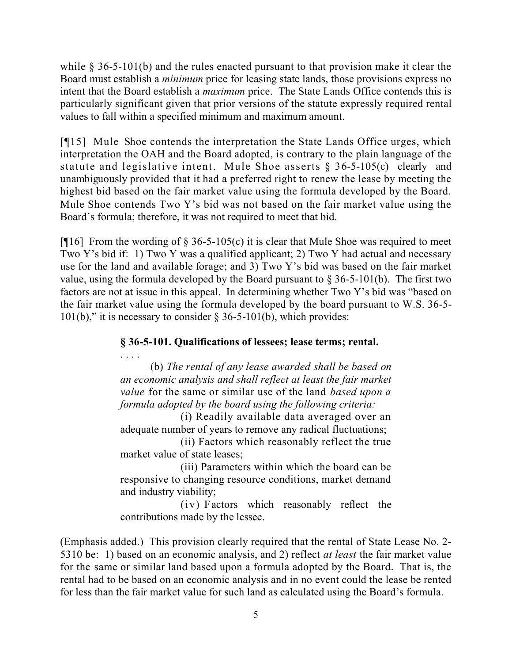while § 36-5-101(b) and the rules enacted pursuant to that provision make it clear the Board must establish a *minimum* price for leasing state lands, those provisions express no intent that the Board establish a *maximum* price. The State Lands Office contends this is particularly significant given that prior versions of the statute expressly required rental values to fall within a specified minimum and maximum amount.

[¶15] Mule Shoe contends the interpretation the State Lands Office urges, which interpretation the OAH and the Board adopted, is contrary to the plain language of the statute and legislative intent. Mule Shoe asserts § 36-5-105(c) clearly and unambiguously provided that it had a preferred right to renew the lease by meeting the highest bid based on the fair market value using the formula developed by the Board. Mule Shoe contends Two Y's bid was not based on the fair market value using the Board's formula; therefore, it was not required to meet that bid.

[ $[16]$  From the wording of § 36-5-105(c) it is clear that Mule Shoe was required to meet Two Y's bid if: 1) Two Y was a qualified applicant; 2) Two Y had actual and necessary use for the land and available forage; and 3) Two Y's bid was based on the fair market value, using the formula developed by the Board pursuant to  $\S 36-5-101(b)$ . The first two factors are not at issue in this appeal. In determining whether Two Y's bid was "based on the fair market value using the formula developed by the board pursuant to W.S. 36-5- 101(b)," it is necessary to consider  $\S 36-5-101(b)$ , which provides:

## **§ 36-5-101. Qualifications of lessees; lease terms; rental.**

. . . . (b) *The rental of any lease awarded shall be based on an economic analysis and shall reflect at least the fair market value* for the same or similar use of the land *based upon a formula adopted by the board using the following criteria:*

(i) Readily available data averaged over an adequate number of years to remove any radical fluctuations;

(ii) Factors which reasonably reflect the true market value of state leases;

(iii) Parameters within which the board can be responsive to changing resource conditions, market demand and industry viability;

(iv) Factors which reasonably reflect the contributions made by the lessee.

(Emphasis added.) This provision clearly required that the rental of State Lease No. 2- 5310 be: 1) based on an economic analysis, and 2) reflect *at least* the fair market value for the same or similar land based upon a formula adopted by the Board. That is, the rental had to be based on an economic analysis and in no event could the lease be rented for less than the fair market value for such land as calculated using the Board's formula.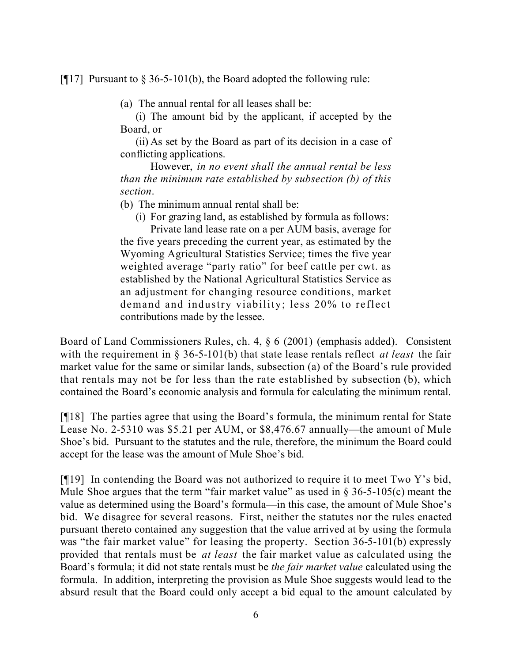[ $[17]$ ] Pursuant to  $\S 36-5-101(b)$ , the Board adopted the following rule:

(a) The annual rental for all leases shall be:

(i) The amount bid by the applicant, if accepted by the Board, or

(ii) As set by the Board as part of its decision in a case of conflicting applications.

However, *in no event shall the annual rental be less than the minimum rate established by subsection (b) of this section*.

(b) The minimum annual rental shall be:

(i) For grazing land, as established by formula as follows:

Private land lease rate on a per AUM basis, average for the five years preceding the current year, as estimated by the Wyoming Agricultural Statistics Service; times the five year weighted average "party ratio" for beef cattle per cwt. as established by the National Agricultural Statistics Service as an adjustment for changing resource conditions, market demand and industry viability; less 20% to reflect contributions made by the lessee.

Board of Land Commissioners Rules, ch. 4, § 6 (2001) (emphasis added). Consistent with the requirement in § 36-5-101(b) that state lease rentals reflect *at least* the fair market value for the same or similar lands, subsection (a) of the Board's rule provided that rentals may not be for less than the rate established by subsection (b), which contained the Board's economic analysis and formula for calculating the minimum rental.

[¶18] The parties agree that using the Board's formula, the minimum rental for State Lease No. 2-5310 was \$5.21 per AUM, or \$8,476.67 annually—the amount of Mule Shoe's bid. Pursuant to the statutes and the rule, therefore, the minimum the Board could accept for the lease was the amount of Mule Shoe's bid.

[¶19] In contending the Board was not authorized to require it to meet Two Y's bid, Mule Shoe argues that the term "fair market value" as used in  $\S$  36-5-105(c) meant the value as determined using the Board's formula—in this case, the amount of Mule Shoe's bid. We disagree for several reasons. First, neither the statutes nor the rules enacted pursuant thereto contained any suggestion that the value arrived at by using the formula was "the fair market value" for leasing the property. Section 36-5-101(b) expressly provided that rentals must be *at least* the fair market value as calculated using the Board's formula; it did not state rentals must be *the fair market value* calculated using the formula. In addition, interpreting the provision as Mule Shoe suggests would lead to the absurd result that the Board could only accept a bid equal to the amount calculated by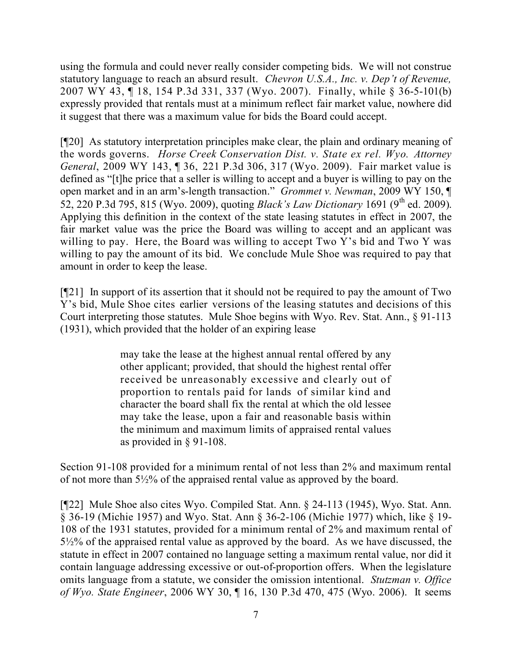using the formula and could never really consider competing bids. We will not construe statutory language to reach an absurd result. *Chevron U.S.A., Inc. v. Dep't of Revenue,*  2007 WY 43, ¶ 18, 154 P.3d 331, 337 (Wyo. 2007). Finally, while § 36-5-101(b) expressly provided that rentals must at a minimum reflect fair market value, nowhere did it suggest that there was a maximum value for bids the Board could accept.

[¶20] As statutory interpretation principles make clear, the plain and ordinary meaning of the words governs. *Horse Creek Conservation Dist. v. State ex rel. Wyo. Attorney General*, 2009 WY 143, ¶ 36, 221 P.3d 306, 317 (Wyo. 2009). Fair market value is defined as "[t]he price that a seller is willing to accept and a buyer is willing to pay on the open market and in an arm's-length transaction." *Grommet v. Newman*, 2009 WY 150, ¶ 52, 220 P.3d 795, 815 (Wyo. 2009), quoting *Black's Law Dictionary* 1691 (9<sup>th</sup> ed. 2009). Applying this definition in the context of the state leasing statutes in effect in 2007, the fair market value was the price the Board was willing to accept and an applicant was willing to pay. Here, the Board was willing to accept Two Y's bid and Two Y was willing to pay the amount of its bid. We conclude Mule Shoe was required to pay that amount in order to keep the lease.

[¶21] In support of its assertion that it should not be required to pay the amount of Two Y's bid, Mule Shoe cites earlier versions of the leasing statutes and decisions of this Court interpreting those statutes. Mule Shoe begins with Wyo. Rev. Stat. Ann., § 91-113 (1931), which provided that the holder of an expiring lease

> may take the lease at the highest annual rental offered by any other applicant; provided, that should the highest rental offer received be unreasonably excessive and clearly out of proportion to rentals paid for lands of similar kind and character the board shall fix the rental at which the old lessee may take the lease, upon a fair and reasonable basis within the minimum and maximum limits of appraised rental values as provided in § 91-108.

Section 91-108 provided for a minimum rental of not less than 2% and maximum rental of not more than 5½% of the appraised rental value as approved by the board.

[¶22] Mule Shoe also cites Wyo. Compiled Stat. Ann. § 24-113 (1945), Wyo. Stat. Ann. § 36-19 (Michie 1957) and Wyo. Stat. Ann § 36-2-106 (Michie 1977) which, like § 19- 108 of the 1931 statutes, provided for a minimum rental of 2% and maximum rental of 5½% of the appraised rental value as approved by the board. As we have discussed, the statute in effect in 2007 contained no language setting a maximum rental value, nor did it contain language addressing excessive or out-of-proportion offers. When the legislature omits language from a statute, we consider the omission intentional. *Stutzman v. Office of Wyo. State Engineer*, 2006 WY 30, ¶ 16, 130 P.3d 470, 475 (Wyo. 2006). It seems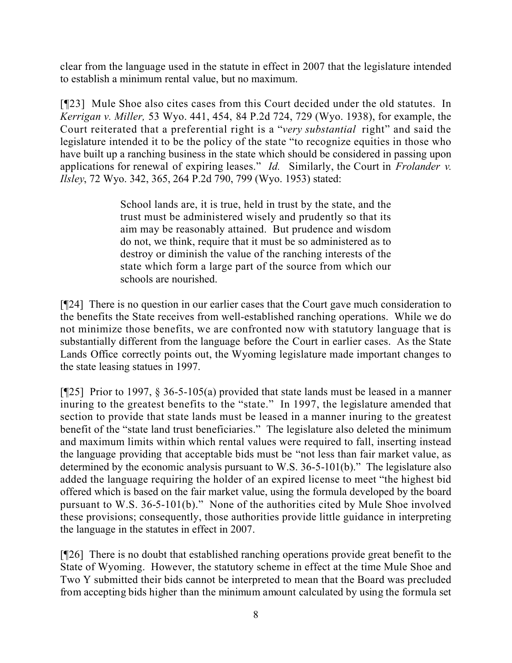clear from the language used in the statute in effect in 2007 that the legislature intended to establish a minimum rental value, but no maximum.

[¶23] Mule Shoe also cites cases from this Court decided under the old statutes. In *Kerrigan v. Miller,* 53 Wyo. 441, 454, 84 P.2d 724, 729 (Wyo. 1938), for example, the Court reiterated that a preferential right is a "*very substantial* right" and said the legislature intended it to be the policy of the state "to recognize equities in those who have built up a ranching business in the state which should be considered in passing upon applications for renewal of expiring leases." *Id.* Similarly, the Court in *Frolander v. Ilsley*, 72 Wyo. 342, 365, 264 P.2d 790, 799 (Wyo. 1953) stated:

> School lands are, it is true, held in trust by the state, and the trust must be administered wisely and prudently so that its aim may be reasonably attained. But prudence and wisdom do not, we think, require that it must be so administered as to destroy or diminish the value of the ranching interests of the state which form a large part of the source from which our schools are nourished.

[¶24] There is no question in our earlier cases that the Court gave much consideration to the benefits the State receives from well-established ranching operations. While we do not minimize those benefits, we are confronted now with statutory language that is substantially different from the language before the Court in earlier cases. As the State Lands Office correctly points out, the Wyoming legislature made important changes to the state leasing statues in 1997.

[ $[125]$ ] Prior to 1997,  $\S$  36-5-105(a) provided that state lands must be leased in a manner inuring to the greatest benefits to the "state." In 1997, the legislature amended that section to provide that state lands must be leased in a manner inuring to the greatest benefit of the "state land trust beneficiaries." The legislature also deleted the minimum and maximum limits within which rental values were required to fall, inserting instead the language providing that acceptable bids must be "not less than fair market value, as determined by the economic analysis pursuant to W.S. 36-5-101(b)." The legislature also added the language requiring the holder of an expired license to meet "the highest bid offered which is based on the fair market value, using the formula developed by the board pursuant to W.S. 36-5-101(b)." None of the authorities cited by Mule Shoe involved these provisions; consequently, those authorities provide little guidance in interpreting the language in the statutes in effect in 2007.

[¶26] There is no doubt that established ranching operations provide great benefit to the State of Wyoming. However, the statutory scheme in effect at the time Mule Shoe and Two Y submitted their bids cannot be interpreted to mean that the Board was precluded from accepting bids higher than the minimum amount calculated by using the formula set